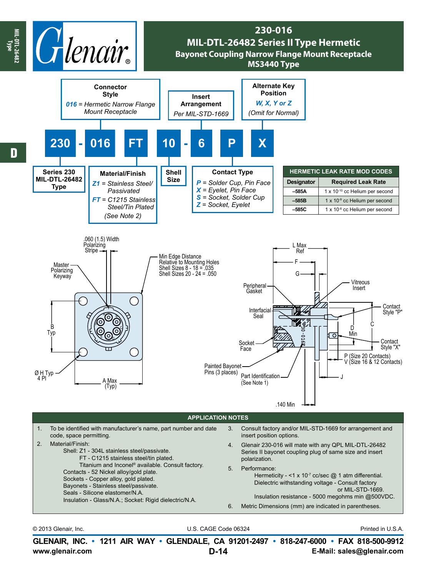

**www.glenair.com E-Mail: sales@glenair.com GLENAIR, INC. • 1211 AIR WAY • GLENDALE, CA 91201-2497 • 818-247-6000 • FAX 818-500-9912 D-14**